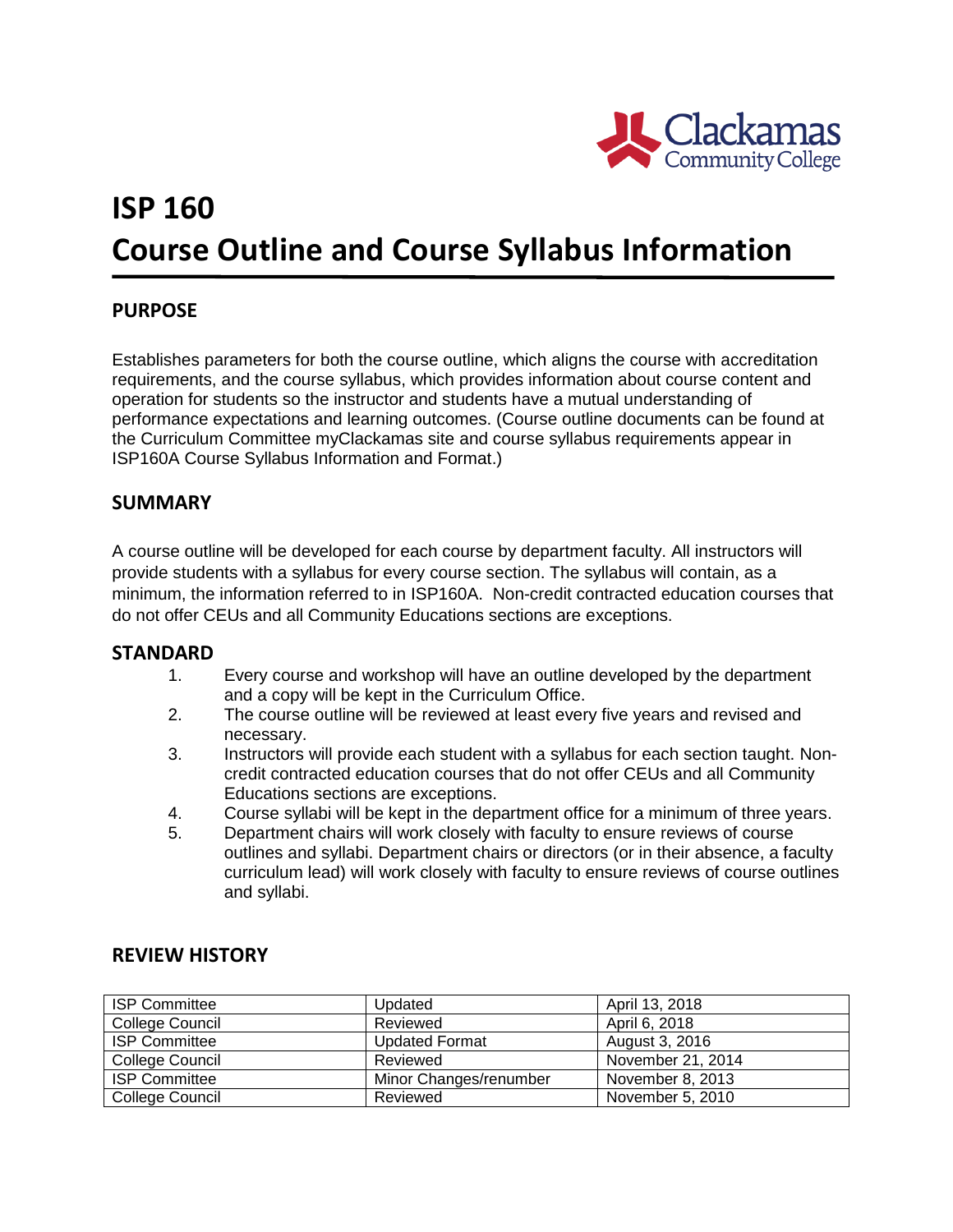

# **ISP 160 Course Outline and Course Syllabus Information**

## **PURPOSE**

Establishes parameters for both the course outline, which aligns the course with accreditation requirements, and the course syllabus, which provides information about course content and operation for students so the instructor and students have a mutual understanding of performance expectations and learning outcomes. (Course outline documents can be found at the Curriculum Committee myClackamas site and course syllabus requirements appear in ISP160A Course Syllabus Information and Format.)

## **SUMMARY**

A course outline will be developed for each course by department faculty. All instructors will provide students with a syllabus for every course section. The syllabus will contain, as a minimum, the information referred to in ISP160A. Non-credit contracted education courses that do not offer CEUs and all Community Educations sections are exceptions.

### **STANDARD**

- 1. Every course and workshop will have an outline developed by the department and a copy will be kept in the Curriculum Office.
- 2. The course outline will be reviewed at least every five years and revised and necessary.
- 3. Instructors will provide each student with a syllabus for each section taught. Noncredit contracted education courses that do not offer CEUs and all Community Educations sections are exceptions.
- 4. Course syllabi will be kept in the department office for a minimum of three years.
- 5. Department chairs will work closely with faculty to ensure reviews of course outlines and syllabi. Department chairs or directors (or in their absence, a faculty curriculum lead) will work closely with faculty to ensure reviews of course outlines and syllabi.

| <b>ISP Committee</b> | Updated                | April 13, 2018    |
|----------------------|------------------------|-------------------|
| College Council      | Reviewed               | April 6, 2018     |
| <b>ISP Committee</b> | <b>Updated Format</b>  | August 3, 2016    |
| College Council      | Reviewed               | November 21, 2014 |
| <b>ISP Committee</b> | Minor Changes/renumber | November 8, 2013  |
| College Council      | Reviewed               | November 5, 2010  |

## **REVIEW HISTORY**